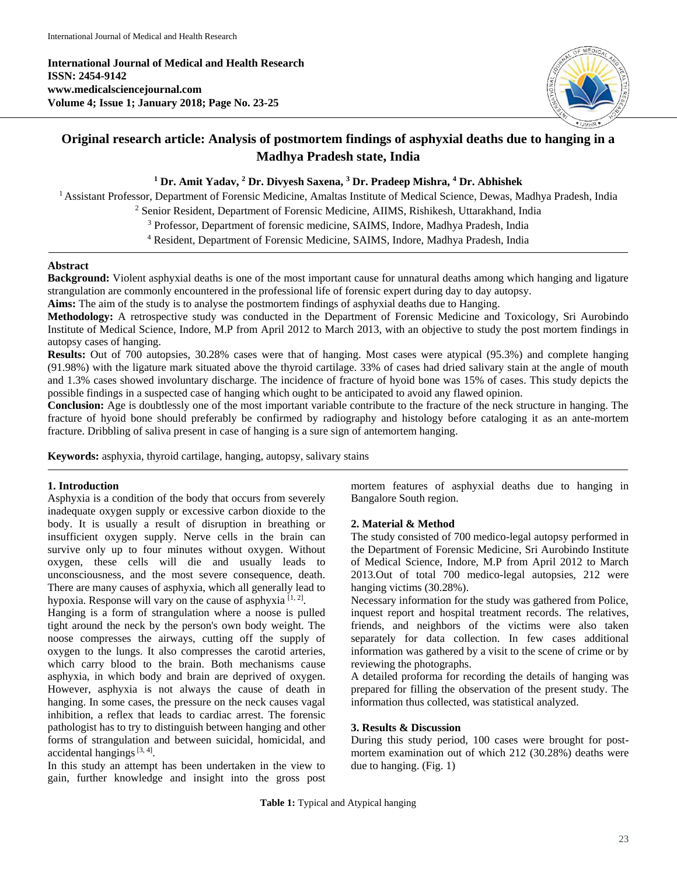**International Journal of Medical and Health Research ISSN: 2454-9142 www.medicalsciencejournal.com Volume 4; Issue 1; January 2018; Page No. 23-25**



# **Original research article: Analysis of postmortem findings of asphyxial deaths due to hanging in a Madhya Pradesh state, India**

**<sup>1</sup> Dr. Amit Yadav, <sup>2</sup> Dr. Divyesh Saxena, <sup>3</sup> Dr. Pradeep Mishra, <sup>4</sup> Dr. Abhishek**

<sup>1</sup> Assistant Professor, Department of Forensic Medicine, Amaltas Institute of Medical Science, Dewas, Madhya Pradesh, India

<sup>2</sup> Senior Resident, Department of Forensic Medicine, AIIMS, Rishikesh, Uttarakhand, India

<sup>3</sup> Professor, Department of forensic medicine, SAIMS, Indore, Madhya Pradesh, India

<sup>4</sup> Resident, Department of Forensic Medicine, SAIMS, Indore, Madhya Pradesh, India

## **Abstract**

**Background:** Violent asphyxial deaths is one of the most important cause for unnatural deaths among which hanging and ligature strangulation are commonly encountered in the professional life of forensic expert during day to day autopsy.

**Aims:** The aim of the study is to analyse the postmortem findings of asphyxial deaths due to Hanging.

**Methodology:** A retrospective study was conducted in the Department of Forensic Medicine and Toxicology, Sri Aurobindo Institute of Medical Science, Indore, M.P from April 2012 to March 2013, with an objective to study the post mortem findings in autopsy cases of hanging.

**Results:** Out of 700 autopsies, 30.28% cases were that of hanging. Most cases were atypical (95.3%) and complete hanging (91.98%) with the ligature mark situated above the thyroid cartilage. 33% of cases had dried salivary stain at the angle of mouth and 1.3% cases showed involuntary discharge. The incidence of fracture of hyoid bone was 15% of cases. This study depicts the possible findings in a suspected case of hanging which ought to be anticipated to avoid any flawed opinion.

**Conclusion:** Age is doubtlessly one of the most important variable contribute to the fracture of the neck structure in hanging. The fracture of hyoid bone should preferably be confirmed by radiography and histology before cataloging it as an ante-mortem fracture. Dribbling of saliva present in case of hanging is a sure sign of antemortem hanging.

**Keywords:** asphyxia, thyroid cartilage, hanging, autopsy, salivary stains

### **1. Introduction**

Asphyxia is a condition of the body that occurs from severely inadequate oxygen supply or excessive carbon dioxide to the body. It is usually a result of disruption in breathing or insufficient oxygen supply. Nerve cells in the brain can survive only up to four minutes without oxygen. Without oxygen, these cells will die and usually leads to unconsciousness, and the most severe consequence, death. There are many causes of asphyxia, which all generally lead to hypoxia. Response will vary on the cause of asphyxia [1, 2].

Hanging is a form of strangulation where a noose is pulled tight around the neck by the person's own body weight. The noose compresses the airways, cutting off the supply of oxygen to the lungs. It also compresses the carotid arteries, which carry blood to the brain. Both mechanisms cause asphyxia, in which body and brain are deprived of oxygen. However, asphyxia is not always the cause of death in hanging. In some cases, the pressure on the neck causes vagal inhibition, a reflex that leads to cardiac arrest. The forensic pathologist has to try to distinguish between hanging and other forms of strangulation and between suicidal, homicidal, and accidental hangings $[3, 4]$ .

In this study an attempt has been undertaken in the view to gain, further knowledge and insight into the gross post

mortem features of asphyxial deaths due to hanging in Bangalore South region.

### **2. Material & Method**

The study consisted of 700 medico-legal autopsy performed in the Department of Forensic Medicine, Sri Aurobindo Institute of Medical Science, Indore, M.P from April 2012 to March 2013.Out of total 700 medico-legal autopsies, 212 were hanging victims  $(30.28\%)$ .

Necessary information for the study was gathered from Police, inquest report and hospital treatment records. The relatives, friends, and neighbors of the victims were also taken separately for data collection. In few cases additional information was gathered by a visit to the scene of crime or by reviewing the photographs.

A detailed proforma for recording the details of hanging was prepared for filling the observation of the present study. The information thus collected, was statistical analyzed.

### **3. Results & Discussion**

During this study period, 100 cases were brought for postmortem examination out of which 212 (30.28%) deaths were due to hanging. (Fig. 1)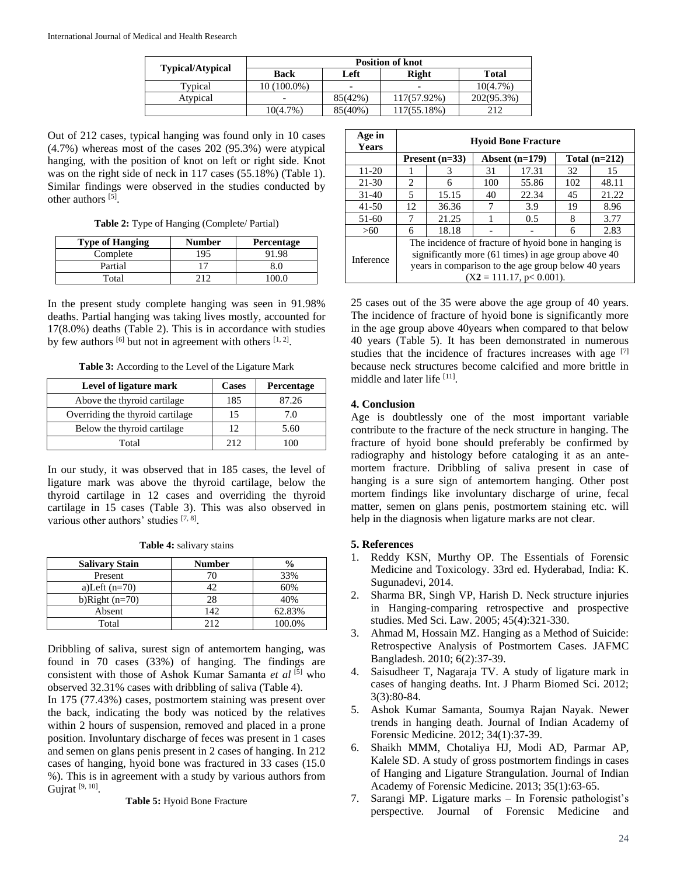|                         | <b>Position of knot</b>  |                          |                          |              |  |
|-------------------------|--------------------------|--------------------------|--------------------------|--------------|--|
| <b>Typical/Atypical</b> | Back                     | Left                     | Right                    | <b>Total</b> |  |
| Typical                 | 10 (100.0%)              | $\overline{\phantom{0}}$ | $\overline{\phantom{0}}$ | $10(4.7\%)$  |  |
| Atypical                | $\overline{\phantom{0}}$ | 85(42%)                  | 117(57.92%)              | 202(95.3%)   |  |
|                         | $10(4.7\%)$              | 85(40%)                  | 117(55.18%)              | 212          |  |

Out of 212 cases, typical hanging was found only in 10 cases (4.7%) whereas most of the cases 202 (95.3%) were atypical hanging, with the position of knot on left or right side. Knot was on the right side of neck in 117 cases (55.18%) (Table 1). Similar findings were observed in the studies conducted by other authors [5].

**Table 2:** Type of Hanging (Complete/ Partial)

| <b>Type of Hanging</b> | <b>Number</b> | <b>Percentage</b> |  |
|------------------------|---------------|-------------------|--|
| Complete               | 195           | 91.98             |  |
| Partial                |               |                   |  |
| Total                  | ) 1 C         |                   |  |

In the present study complete hanging was seen in 91.98% deaths. Partial hanging was taking lives mostly, accounted for 17(8.0%) deaths (Table 2). This is in accordance with studies by few authors  $[6]$  but not in agreement with others  $[1, 2]$ .

**Table 3:** According to the Level of the Ligature Mark

| Level of ligature mark            | Cases | <b>Percentage</b> |  |
|-----------------------------------|-------|-------------------|--|
| Above the thyroid cartilage.      | 185   | 87.26             |  |
| Overriding the thyroid cartilage. | 15    | 70                |  |
| Below the thyroid cartilage.      | 12    | 5.60              |  |
| Total                             | 212   |                   |  |

In our study, it was observed that in 185 cases, the level of ligature mark was above the thyroid cartilage, below the thyroid cartilage in 12 cases and overriding the thyroid cartilage in 15 cases (Table 3). This was also observed in various other authors' studies [7, 8].

| <b>Salivary Stain</b> | Number | $\frac{0}{0}$ |
|-----------------------|--------|---------------|
| Present               | 70     | 33%           |
| a)Left $(n=70)$       | 12     | 60%           |
| b)Right $(n=70)$      | 28     | 40%           |
| Absent                | 142    | 62.83%        |
| Total                 | 212    | 100.0%        |

Dribbling of saliva, surest sign of antemortem hanging, was found in 70 cases (33%) of hanging. The findings are consistent with those of Ashok Kumar Samanta *et al* [5] who observed 32.31% cases with dribbling of saliva (Table 4). In 175 (77.43%) cases, postmortem staining was present over

the back, indicating the body was noticed by the relatives within 2 hours of suspension, removed and placed in a prone position. Involuntary discharge of feces was present in 1 cases and semen on glans penis present in 2 cases of hanging. In 212 cases of hanging, hyoid bone was fractured in 33 cases (15.0 %). This is in agreement with a study by various authors from Gujrat  $[9, 10]$ .

**Table 5:** Hyoid Bone Fracture

| Age in<br><b>Years</b> | <b>Hyoid Bone Fracture</b>                                                                                                                                                                          |       |                  |       |                 |       |
|------------------------|-----------------------------------------------------------------------------------------------------------------------------------------------------------------------------------------------------|-------|------------------|-------|-----------------|-------|
|                        | Present $(n=33)$                                                                                                                                                                                    |       | Absent $(n=179)$ |       | Total $(n=212)$ |       |
| 11-20                  |                                                                                                                                                                                                     | 3     | 31               | 17.31 | 32              | 15    |
| 21-30                  | 2                                                                                                                                                                                                   | 6     | 100              | 55.86 | 102             | 48.11 |
| $31 - 40$              | 5                                                                                                                                                                                                   | 15.15 | 40               | 22.34 | 45              | 21.22 |
| $41 - 50$              | 12                                                                                                                                                                                                  | 36.36 |                  | 3.9   | 19              | 8.96  |
| 51-60                  |                                                                                                                                                                                                     | 21.25 |                  | 0.5   | 8               | 3.77  |
| >60                    | 6                                                                                                                                                                                                   | 18.18 |                  |       | 6               | 2.83  |
| Inference              | The incidence of fracture of hyoid bone in hanging is<br>significantly more (61 times) in age group above 40<br>years in comparison to the age group below 40 years<br>$(X2 = 111.17, p < 0.001)$ . |       |                  |       |                 |       |

25 cases out of the 35 were above the age group of 40 years. The incidence of fracture of hyoid bone is significantly more in the age group above 40years when compared to that below 40 years (Table 5). It has been demonstrated in numerous studies that the incidence of fractures increases with age [7] because neck structures become calcified and more brittle in middle and later life [11].

### **4. Conclusion**

Age is doubtlessly one of the most important variable contribute to the fracture of the neck structure in hanging. The fracture of hyoid bone should preferably be confirmed by radiography and histology before cataloging it as an antemortem fracture. Dribbling of saliva present in case of hanging is a sure sign of antemortem hanging. Other post mortem findings like involuntary discharge of urine, fecal matter, semen on glans penis, postmortem staining etc. will help in the diagnosis when ligature marks are not clear.

### **5. References**

- 1. Reddy KSN, Murthy OP. The Essentials of Forensic Medicine and Toxicology. 33rd ed. Hyderabad, India: K. Sugunadevi, 2014.
- 2. Sharma BR, Singh VP, Harish D. Neck structure injuries in Hanging-comparing retrospective and prospective studies. Med Sci. Law. 2005; 45(4):321-330.
- 3. Ahmad M, Hossain MZ. Hanging as a Method of Suicide: Retrospective Analysis of Postmortem Cases. JAFMC Bangladesh. 2010; 6(2):37-39.
- 4. Saisudheer T, Nagaraja TV. A study of ligature mark in cases of hanging deaths. Int. J Pharm Biomed Sci. 2012; 3(3):80-84.
- 5. Ashok Kumar Samanta, Soumya Rajan Nayak. Newer trends in hanging death. Journal of Indian Academy of Forensic Medicine. 2012; 34(1):37-39.
- 6. Shaikh MMM, Chotaliya HJ, Modi AD, Parmar AP, Kalele SD. A study of gross postmortem findings in cases of Hanging and Ligature Strangulation. Journal of Indian Academy of Forensic Medicine. 2013; 35(1):63-65.
- 7. Sarangi MP. Ligature marks In Forensic pathologist's perspective. Journal of Forensic Medicine and